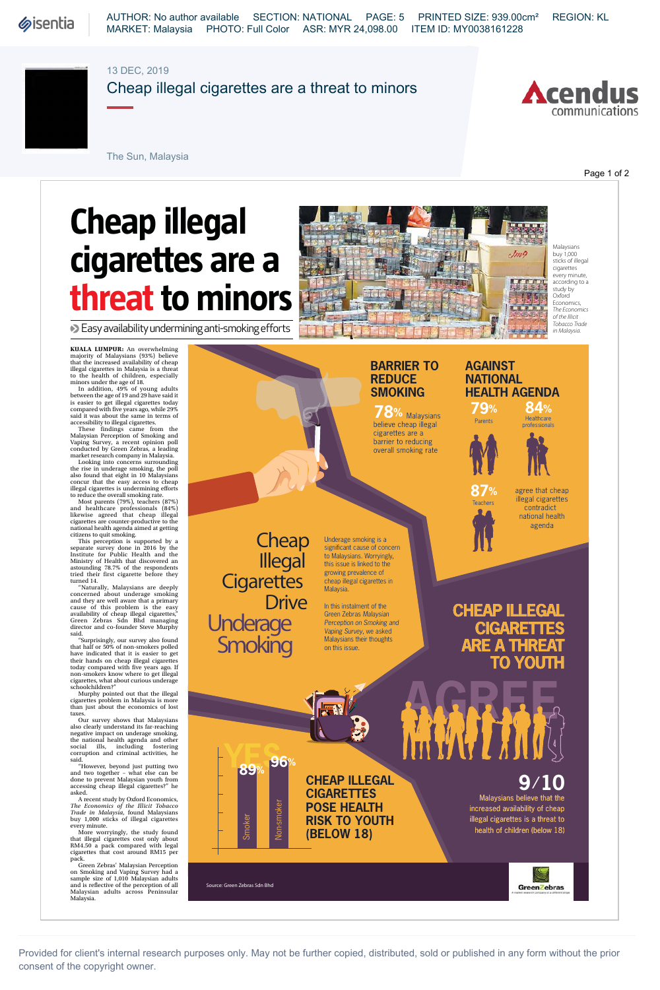

MARKET: Malaysia PHOTO: Full Color ASR: MYR 24,098.00 ITEM ID: MY0038161228

## 13 DEC, 2019

Cheap illegal cigarettes are a threat to minors



Green ebras

Page 1 of 2

The Sun, Malaysia

## **Cheap illegal threat to minors**

and they are well aware that a primary cause of this problem is the easy availability of cheap illegal cigarettes," Green Zebras Sdn Bhd managing director and co-founder Steve Murphy said.

"Surprisingly, our survey also found<br>from that in a small of or 50% of non-smokers polled<br>have indicated that it is easier to get<br>their hands on cheap illegal cigarettes than<br>today compared with five years ago. If<br>cigarett

also clearly understand its far-reaching negative impact on underage smoking, the national health agenda and other social ills, including fostering corruption and criminal activities, he said.

"However, beyond just putting two and two together – what else can be done to prevent Malaysian youth from accessing cheap illegal cigarettes?" he asked.

A recent study by Oxford Economics, *The Economics of the Illicit Tobacco Trade in Malaysia,* found Malaysians buy 1,000 sticks of illegal cigarettes every minute.

More worryingly, the study found that illegal cigarettes cost only about RM4.50 a pack compared with legal cigarettes that cost around RM15 per pack. Green Zebras' Malaysian Perception

on Smoking and Vaping Survey had a sample size of 1,010 Malaysian adults and is reflective of the perception of all Malaysian adults across Peninsular Malaysia.



Provided for client's internal research purposes only. May not be further copied, distributed, sold or published in any form without the prior consent of the copyright owner.

**Source: Green Zebras Sdn Bhd**